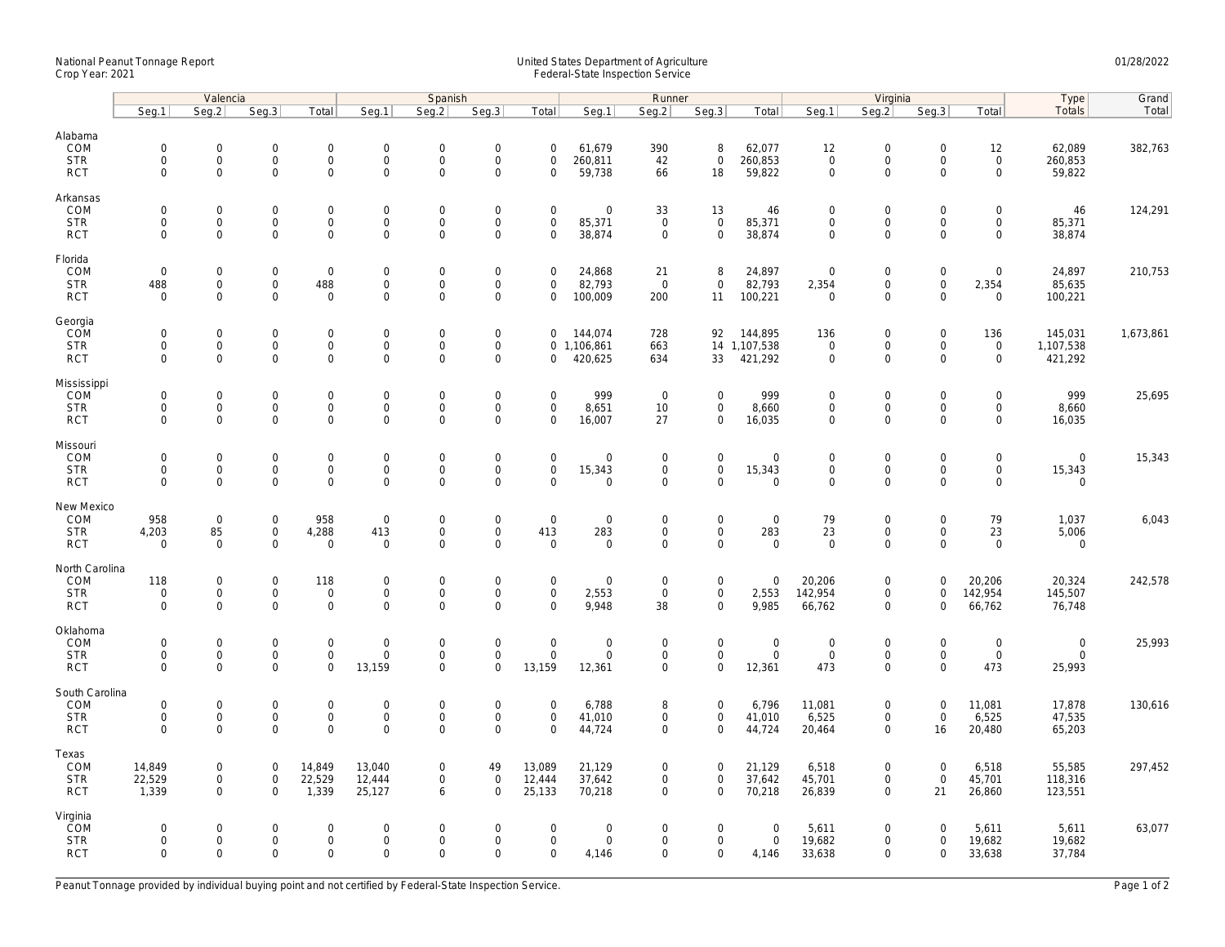## National Peanut Tonnage Report United States Department of Agriculture 01/28/2022 Crop Year: 2021 Federal-State Inspection Service

|                                                          | Valencia                                               |                                                   |                                                            |                                         | Spanish                                        |                                                           |                                                              |                                                        | Runner                                       |                                           |                                                   |                                       | Virginia                                          |                                                           |                                                           |                                                           | Type                                 | Grand     |
|----------------------------------------------------------|--------------------------------------------------------|---------------------------------------------------|------------------------------------------------------------|-----------------------------------------|------------------------------------------------|-----------------------------------------------------------|--------------------------------------------------------------|--------------------------------------------------------|----------------------------------------------|-------------------------------------------|---------------------------------------------------|---------------------------------------|---------------------------------------------------|-----------------------------------------------------------|-----------------------------------------------------------|-----------------------------------------------------------|--------------------------------------|-----------|
|                                                          | Seg.1                                                  | Seq.2                                             | Seg.3                                                      | Total                                   | Seg.1                                          | Seq.2                                                     | Seg.3                                                        | Total                                                  | Seg.1                                        | Seg.2                                     | Seg.3                                             | Total                                 | Seg.1                                             | Seq.2                                                     | Seg.3                                                     | Total                                                     | Totals                               | Total     |
| Alabama<br>COM<br><b>STR</b>                             | $\mathsf{O}\xspace$<br>$\mathbf 0$                     | $\mathsf{O}\xspace$<br>$\mathbf 0$                | $\mathsf{O}\xspace$<br>$\mathbf 0$                         | $\mathbf 0$<br>$\mathbf 0$              | $\boldsymbol{0}$<br>$\mathbf 0$                | $\mathbf 0$<br>$\mathbf{0}$                               | $\mathbf 0$<br>$\mathbf 0$                                   | $\mathbf 0$<br>$\mathbf 0$                             | 61,679<br>260,811                            | 390<br>42                                 | 8<br>$\mathbf{0}$                                 | 62,077<br>260,853                     | 12<br>$\mathbf 0$                                 | $\mathsf{O}\xspace$<br>$\mathsf{O}\xspace$                | $\mathsf{O}\xspace$<br>$\mathbf 0$                        | 12<br>$\mathsf{O}$                                        | 62,089<br>260,853                    | 382,763   |
| <b>RCT</b><br>Arkansas                                   | $\mathsf{O}\xspace$                                    | $\mathbf 0$                                       | $\mathsf{O}\xspace$                                        | 0                                       | $\mathsf 0$                                    | $\mathbf 0$                                               | $\mathbf 0$                                                  | $\Omega$                                               | 59,738                                       | 66                                        | 18                                                | 59,822                                | $\mathsf{O}\xspace$                               | $\mathsf{O}\xspace$                                       | $\Omega$                                                  | $\mathbf 0$                                               | 59,822                               |           |
| COM<br><b>STR</b><br><b>RCT</b>                          | $\mathsf{O}\xspace$<br>$\mathsf{O}\xspace$<br>$\Omega$ | $\mathbf 0$<br>$\mathbf 0$<br>$\Omega$            | $\mathsf{O}\xspace$<br>$\mathsf{O}\xspace$<br>$\mathbf{0}$ | 0<br>0<br>$\mathbf{0}$                  | $\mathsf 0$<br>$\mathsf 0$<br>$\mathbf 0$      | $\mathsf{O}\xspace$<br>$\mathbf 0$<br>$\Omega$            | $\mathsf{O}\xspace$<br>$\mathbf 0$<br>$\mathbf 0$            | $\mathbf 0$<br>$\mathsf{O}\xspace$<br>$\Omega$         | $\mathsf{O}\xspace$<br>85,371<br>38,874      | 33<br>$\mathsf 0$<br>$\mathbf 0$          | 13<br>$\mathbf 0$<br>$\mathbf 0$                  | 46<br>85,371<br>38,874                | $\mathbf 0$<br>$\mathbf 0$<br>$\mathbf 0$         | $\mathsf{O}\xspace$<br>$\mathsf{O}\xspace$<br>$\mathbf 0$ | $\mathbf 0$<br>$\mathsf{O}\xspace$<br>$\Omega$            | $\mathsf{O}\xspace$<br>$\mathsf{O}\xspace$<br>$\mathbf 0$ | 46<br>85,371<br>38,874               | 124,291   |
| Florida<br>COM<br><b>STR</b><br><b>RCT</b>               | $\mathbf 0$<br>488<br>$\mathbf 0$                      | $\mathbf 0$<br>$\mathsf{O}\xspace$<br>$\Omega$    | $\mathbf 0$<br>0<br>$\mathbf 0$                            | $\mathbf 0$<br>488<br>$\mathbf 0$       | $\mathbf 0$<br>$\boldsymbol{0}$<br>$\mathbf 0$ | $\mathbf 0$<br>$\mathsf{O}\xspace$<br>$\mathbf 0$         | $\mathsf{O}\xspace$<br>$\mathsf{O}\xspace$<br>$\mathbf 0$    | $\mathbf 0$<br>$\mathbf 0$<br>$\mathbf 0$              | 24,868<br>82,793<br>100,009                  | 21<br>$\overline{0}$<br>200               | 8<br>$\mathbf 0$<br>11                            | 24,897<br>82,793<br>100,221           | $\overline{0}$<br>2,354<br>$\overline{0}$         | $\mathsf{O}\xspace$<br>$\mathsf{O}\xspace$<br>$\mathbf 0$ | $\mathsf{O}\xspace$<br>$\mathsf{O}\xspace$<br>$\Omega$    | $\mathbf 0$<br>2,354<br>$\mathbf 0$                       | 24,897<br>85,635<br>100,221          | 210,753   |
| Georgia<br>COM<br><b>STR</b><br><b>RCT</b>               | $\mathbf 0$<br>$\mathbf 0$<br>$\mathbf 0$              | $\mathbf 0$<br>$\mathsf{O}\xspace$<br>$\mathbf 0$ | $\mathsf{O}\xspace$<br>$\mathsf{O}\xspace$<br>$\mathbf 0$  | 0<br>0<br>0                             | $\mathbf 0$<br>$\boldsymbol{0}$<br>$\mathsf 0$ | $\mathbf 0$<br>$\mathbf 0$<br>$\mathsf{O}\xspace$         | $\mathbf 0$<br>$\mathbf 0$<br>$\mathbf 0$                    | $\mathbf 0$<br>$\mathbf 0$                             | 144,074<br>0 1,106,861<br>420,625            | 728<br>663<br>634                         | 92<br>33                                          | 144,895<br>14 1,107,538<br>421,292    | 136<br>$\overline{0}$<br>$\mathsf{O}\xspace$      | $\mathsf{O}\xspace$<br>$\mathsf{O}\xspace$<br>$\mathbf 0$ | $\mathsf{O}\xspace$<br>$\mathsf{O}\xspace$<br>$\mathbf 0$ | 136<br>$\mathsf{O}$<br>$\mathbf 0$                        | 145,031<br>1,107,538<br>421,292      | 1,673,861 |
| Mississippi<br>COM<br><b>STR</b><br><b>RCT</b>           | $\mathsf{O}\xspace$<br>$\mathbf 0$<br>$\mathbf 0$      | $\mathbf 0$<br>$\mathbf 0$<br>$\mathbf 0$         | $\mathsf{O}\xspace$<br>$\mathbf 0$<br>$\mathbf 0$          | 0<br>$\overline{0}$<br>0                | $\mathbf 0$<br>$\mathbf 0$<br>$\mathsf 0$      | $\mathsf{O}\xspace$<br>$\mathbf{0}$<br>$\mathbf 0$        | $\mathbf 0$<br>$\mathbf 0$<br>$\mathbf 0$                    | $\mathbf 0$<br>$\mathbf 0$<br>$\mathbf 0$              | 999<br>8,651<br>16,007                       | $\mathbf 0$<br>10<br>27                   | $\mathbf 0$<br>$\mathbf{0}$<br>$\mathbf 0$        | 999<br>8,660<br>16,035                | $\mathbf 0$<br>$\mathbf 0$<br>$\mathbf 0$         | $\mathsf{O}\xspace$<br>$\mathbf 0$<br>$\mathsf{O}\xspace$ | $\Omega$<br>$\mathbf 0$<br>$\mathbf 0$                    | $\mathbf 0$<br>$\mathbf 0$<br>$\mathbf 0$                 | 999<br>8,660<br>16,035               | 25,695    |
| Missouri<br>COM<br><b>STR</b><br><b>RCT</b>              | $\mathsf{O}\xspace$<br>$\mathbf 0$<br>$\Omega$         | $\mathbf 0$<br>$\mathbf 0$<br>$\mathbf 0$         | $\mathsf{O}\xspace$<br>$\mathsf{O}\xspace$<br>$\mathbf{0}$ | 0<br>0<br>$\mathbf{0}$                  | $\mathbf 0$<br>$\mathsf 0$<br>$\mathbf 0$      | $\mathsf{O}\xspace$<br>$\mathsf{O}\xspace$<br>$\mathbf 0$ | $\mathbf 0$<br>$\mathbf 0$<br>$\mathbf 0$                    | $\mathsf{O}\xspace$<br>$\mathsf{O}\xspace$<br>$\Omega$ | $\mathsf{O}\xspace$<br>15,343<br>$\mathbf 0$ | $\mathsf 0$<br>0<br>$\Omega$              | $\mathbf 0$<br>$\mathbf 0$<br>$\Omega$            | $\mathbf 0$<br>15,343<br>$\mathbf 0$  | $\mathbf 0$<br>$\mathsf{O}\xspace$<br>$\mathbf 0$ | $\mathsf{O}\xspace$<br>$\mathsf{O}\xspace$<br>$\Omega$    | $\mathsf{O}\xspace$<br>$\mathbf 0$<br>$\Omega$            | $\mathsf{O}\xspace$<br>$\mathbf 0$<br>$\mathbf 0$         | $\mathbf 0$<br>15,343<br>$\mathbf 0$ | 15,343    |
| New Mexico<br>COM<br><b>STR</b><br><b>RCT</b>            | 958<br>4,203<br>$\mathbf 0$                            | $\mathbf 0$<br>85<br>$\mathbf 0$                  | $\mathbf 0$<br>$\mathsf{O}\xspace$<br>$\mathbf 0$          | 958<br>4,288<br>$\mathbf 0$             | $\mathsf 0$<br>413<br>$\mathbf 0$              | $\mathsf{O}\xspace$<br>$\mathbf 0$<br>$\mathbf 0$         | $\mathsf{O}\xspace$<br>$\mathsf{O}\xspace$<br>$\overline{0}$ | $\mathbf 0$<br>413<br>$\mathbf 0$                      | $\mathsf{O}\xspace$<br>283<br>$\mathbf 0$    | $\mathbf 0$<br>$\mathsf 0$<br>$\mathbf 0$ | 0<br>$\mathbf 0$<br>$\mathbf{0}$                  | $\mathsf 0$<br>283<br>$\mathbf 0$     | 79<br>23<br>$\mathbf 0$                           | $\mathsf{O}\xspace$<br>$\mathsf{O}\xspace$<br>$\mathbf 0$ | $\mathbf 0$<br>$\mathbf 0$<br>$\Omega$                    | 79<br>23<br>$\mathbf 0$                                   | 1,037<br>5,006<br>$\mathbf 0$        | 6,043     |
| North Carolina<br><b>COM</b><br><b>STR</b><br><b>RCT</b> | 118<br>$\mathsf{O}\xspace$<br>$\mathbf 0$              | $\mathbf 0$<br>$\mathsf{O}\xspace$<br>$\mathbf 0$ | $\mathbf 0$<br>$\mathbf 0$<br>$\mathbf 0$                  | 118<br>$\mathbf 0$<br>$\mathbf 0$       | $\mathbf 0$<br>$\mathsf 0$<br>$\mathbf 0$      | $\mathbf 0$<br>$\mathbf 0$<br>$\mathbf 0$                 | $\mathbf 0$<br>$\mathbf 0$<br>$\mathbf 0$                    | $\mathbf 0$<br>$\mathsf{O}\xspace$<br>$\Omega$         | $\mathbf 0$<br>2,553<br>9,948                | $\mathbf 0$<br>$\mathsf 0$<br>38          | $\mathbf 0$<br>$\mathbf 0$<br>$\mathbf{0}$        | $\mathbf 0$<br>2,553<br>9,985         | 20,206<br>142,954<br>66,762                       | $\mathbf 0$<br>$\mathsf{O}\xspace$<br>$\mathbf 0$         | $\Omega$<br>$\mathbf 0$<br>$\Omega$                       | 20,206<br>142,954<br>66,762                               | 20,324<br>145,507<br>76,748          | 242,578   |
| Oklahoma<br>COM<br><b>STR</b><br><b>RCT</b>              | $\mathbf 0$<br>$\mathbf 0$<br>$\mathbf 0$              | $\mathbf 0$<br>$\mathsf{O}\xspace$<br>$\mathbf 0$ | $\mathsf{O}\xspace$<br>$\mathbf 0$<br>$\mathbf 0$          | 0<br>$\mathsf{O}\xspace$<br>0           | $\mathbf 0$<br>$\mathsf{O}\xspace$<br>13,159   | $\mathsf{O}\xspace$<br>$\mathbf 0$<br>$\mathbf 0$         | $\mathbf 0$<br>$\mathsf{O}\xspace$<br>$\mathbf 0$            | $\mathbf 0$<br>$\mathbf 0$<br>13,159                   | $\mathsf{O}\xspace$<br>$\mathbf 0$<br>12,361 | $\mathsf 0$<br>$\mathbf 0$<br>$\mathbf 0$ | $\mathbf 0$<br>$\mathsf{O}\xspace$<br>$\mathbf 0$ | $\mathbf 0$<br>$\mathsf{O}$<br>12,361 | $\mathbf 0$<br>$\mathbf 0$<br>473                 | $\mathsf{O}\xspace$<br>$\mathsf{O}\xspace$<br>$\mathbf 0$ | $\mathbf 0$<br>$\mathbf 0$<br>$\Omega$                    | $\mathsf{O}\xspace$<br>$\mathsf{O}$<br>473                | $\mathbf 0$<br>$\mathbf 0$<br>25,993 | 25,993    |
| South Carolina<br>COM<br><b>STR</b><br><b>RCT</b>        | $\mathsf{O}\xspace$<br>$\mathsf{O}\xspace$<br>$\Omega$ | $\mathbf 0$<br>$\mathbf 0$<br>$\Omega$            | $\mathsf{O}\xspace$<br>$\mathsf{O}\xspace$<br>$\Omega$     | $\mathbf 0$<br>$\mathsf{O}\xspace$<br>0 | $\mathbf 0$<br>$\mathbf 0$<br>$\Omega$         | $\mathsf{O}\xspace$<br>$\mathsf{O}\xspace$<br>$\Omega$    | $\mathbf 0$<br>$\mathbf 0$<br>$\Omega$                       | $\mathbf 0$<br>$\mathsf{O}\xspace$<br>$\Omega$         | 6,788<br>41,010<br>44,724                    | 8<br>0<br>$\Omega$                        | $\mathbf 0$<br>$\mathbf 0$<br>$\mathbf 0$         | 6,796<br>41,010<br>44,724             | 11,081<br>6,525<br>20,464                         | $\mathsf{O}\xspace$<br>$\mathsf{O}\xspace$<br>$\mathbf 0$ | $\mathbf 0$<br>$\mathsf{O}\xspace$<br>16                  | 11,081<br>6,525<br>20,480                                 | 17,878<br>47,535<br>65,203           | 130,616   |
| Texas<br>COM<br><b>STR</b><br><b>RCT</b>                 | 14,849<br>22,529<br>1,339                              | 0<br>$\mathsf{O}\xspace$<br>$\mathbf 0$           | $\mathbf 0$<br>$\mathsf{O}\xspace$<br>$\mathbf 0$          | 14,849<br>22,529<br>1,339               | 13,040<br>12,444<br>25,127                     | $\mathbf 0$<br>$\mathbf 0$<br>6                           | 49<br>$\boldsymbol{0}$<br>$\mathbf 0$                        | 13,089<br>12,444<br>25,133                             | 21,129<br>37,642<br>70,218                   | 0<br>0<br>$\Omega$                        | $\mathbf 0$<br>$\mathbf 0$<br>$\mathbf{0}$        | 21,129<br>37,642<br>70,218            | 6,518<br>45,701<br>26,839                         | $\mathbf 0$<br>$\mathsf{O}\xspace$<br>$\mathbf 0$         | $\mathbf 0$<br>$\mathsf{O}\xspace$<br>21                  | 6,518<br>45,701<br>26,860                                 | 55,585<br>118,316<br>123,551         | 297,452   |
| Virginia<br>COM<br><b>STR</b><br><b>RCT</b>              | $\mathbf 0$<br>$\mathsf{O}\xspace$<br>$\mathbf 0$      | $\mathbf 0$<br>$\mathbf 0$<br>$\mathbf 0$         | $\mathbf{0}$<br>$\mathsf{O}\xspace$<br>$\mathbf 0$         | $\mathbf 0$<br>$\mathbf 0$<br>0         | $\Omega$<br>$\mathbf 0$<br>$\mathbf 0$         | $\mathbf 0$<br>$\mathsf{O}\xspace$<br>$\mathbf 0$         | $\mathbf 0$<br>$\mathbf 0$<br>$\mathbf 0$                    | $\mathbf 0$<br>$\mathsf{O}\xspace$<br>$\mathbf 0$      | $\mathbf 0$<br>$\mathbf 0$<br>4,146          | 0<br>0<br>0                               | $\mathbf{0}$<br>$\mathbf 0$<br>0                  | $\mathbf 0$<br>$\mathsf{O}$<br>4,146  | 5,611<br>19,682<br>33,638                         | $\mathbf 0$<br>$\mathsf{O}\xspace$<br>$\mathbf 0$         | $\Omega$<br>$\mathbf 0$<br>$\mathbf 0$                    | 5,611<br>19,682<br>33,638                                 | 5,611<br>19,682<br>37,784            | 63,077    |

Peanut Tonnage provided by individual buying point and not certified by Federal-State Inspection Service. Page 1 of 2